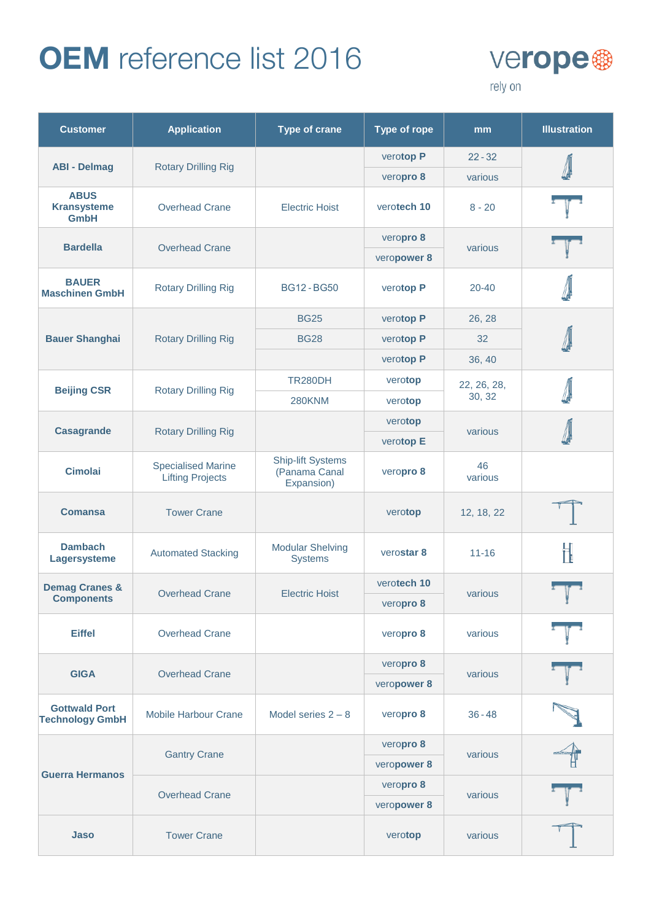

| <b>Customer</b>                                  | <b>Application</b>                                   | <b>Type of crane</b>                                    | <b>Type of rope</b>  | mm                    | <b>Illustration</b>  |
|--------------------------------------------------|------------------------------------------------------|---------------------------------------------------------|----------------------|-----------------------|----------------------|
| <b>ABI - Delmag</b>                              |                                                      |                                                         | verotop P            | $22 - 32$             |                      |
|                                                  | <b>Rotary Drilling Rig</b>                           |                                                         | veropro 8            | various               |                      |
| <b>ABUS</b><br><b>Kransysteme</b><br><b>GmbH</b> | <b>Overhead Crane</b>                                | <b>Electric Hoist</b>                                   | verotech 10          | $8 - 20$              |                      |
| <b>Bardella</b>                                  | <b>Overhead Crane</b>                                |                                                         | veropro 8            | various               |                      |
|                                                  |                                                      |                                                         | veropower 8          |                       |                      |
| <b>BAUER</b><br><b>Maschinen GmbH</b>            | <b>Rotary Drilling Rig</b>                           | <b>BG12-BG50</b>                                        | verotop P            | $20 - 40$             |                      |
|                                                  |                                                      | <b>BG25</b>                                             | verotop P            | 26, 28                |                      |
| <b>Bauer Shanghai</b>                            | <b>Rotary Drilling Rig</b>                           | <b>BG28</b>                                             | verotop P            | 32                    |                      |
|                                                  |                                                      |                                                         | verotop P            | 36, 40                |                      |
| <b>Beijing CSR</b>                               | <b>Rotary Drilling Rig</b>                           | <b>TR280DH</b>                                          | verotop              | 22, 26, 28,<br>30, 32 |                      |
|                                                  |                                                      | <b>280KNM</b>                                           | verotop              |                       |                      |
| <b>Casagrande</b>                                | <b>Rotary Drilling Rig</b>                           |                                                         | verotop<br>verotop E | various               |                      |
|                                                  |                                                      |                                                         |                      |                       |                      |
| <b>Cimolai</b>                                   | <b>Specialised Marine</b><br><b>Lifting Projects</b> | <b>Ship-lift Systems</b><br>(Panama Canal<br>Expansion) | veropro 8            | 46<br>various         |                      |
| <b>Comansa</b>                                   | <b>Tower Crane</b>                                   |                                                         | verotop              | 12, 18, 22            |                      |
| <b>Dambach</b><br>Lagersysteme                   | <b>Automated Stacking</b>                            | <b>Modular Shelving</b><br><b>Systems</b>               | verostar 8           | $11 - 16$             |                      |
| <b>Demag Cranes &amp;</b>                        | <b>Overhead Crane</b>                                | <b>Electric Hoist</b>                                   | verotech 10          | various               |                      |
| <b>Components</b>                                |                                                      |                                                         | veropro 8            |                       |                      |
| <b>Eiffel</b>                                    | <b>Overhead Crane</b>                                |                                                         | veropro 8            | various               |                      |
|                                                  | <b>Overhead Crane</b>                                | veropro 8                                               |                      | various               | $\frac{1}{\sqrt{2}}$ |
| <b>GIGA</b>                                      |                                                      |                                                         | veropower 8          |                       |                      |
| <b>Gottwald Port</b><br><b>Technology GmbH</b>   | <b>Mobile Harbour Crane</b>                          | Model series $2 - 8$                                    | veropro 8            | $36 - 48$             |                      |
| <b>Guerra Hermanos</b>                           |                                                      |                                                         | veropro 8            |                       |                      |
|                                                  | <b>Gantry Crane</b>                                  |                                                         | veropower 8          | various               |                      |
|                                                  | <b>Overhead Crane</b>                                |                                                         | veropro 8            | various               |                      |
|                                                  |                                                      |                                                         | veropower 8          |                       |                      |
| Jaso                                             | <b>Tower Crane</b>                                   |                                                         | verotop              | various               |                      |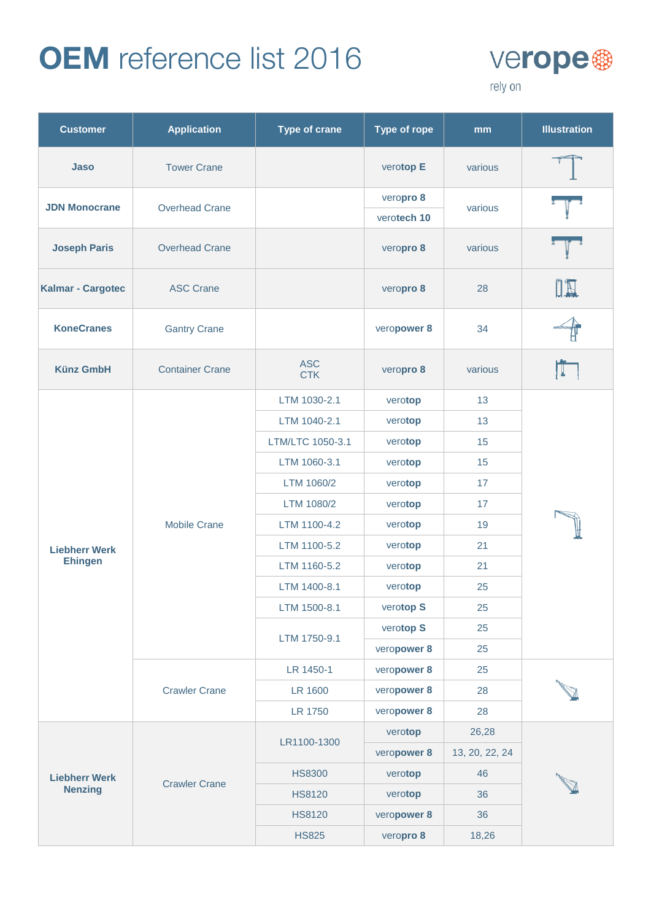

| <b>Customer</b>                        | <b>Application</b>     | <b>Type of crane</b>     | <b>Type of rope</b>      | mm             | <b>Illustration</b> |
|----------------------------------------|------------------------|--------------------------|--------------------------|----------------|---------------------|
| Jaso                                   | <b>Tower Crane</b>     |                          | verotop E                | various        |                     |
| <b>JDN Monocrane</b>                   | <b>Overhead Crane</b>  |                          | veropro 8<br>verotech 10 | various        |                     |
| <b>Joseph Paris</b>                    | <b>Overhead Crane</b>  |                          | veropro 8                | various        |                     |
| Kalmar - Cargotec                      | <b>ASC Crane</b>       |                          | veropro 8                | 28             |                     |
| <b>KoneCranes</b>                      | <b>Gantry Crane</b>    |                          | veropower 8              | 34             |                     |
| <b>Künz GmbH</b>                       | <b>Container Crane</b> | <b>ASC</b><br><b>CTK</b> | veropro 8                | various        |                     |
|                                        | <b>Mobile Crane</b>    | LTM 1030-2.1             | verotop                  | 13             |                     |
|                                        |                        | LTM 1040-2.1             | verotop                  | 13             |                     |
|                                        |                        | LTM/LTC 1050-3.1         | verotop                  | 15             |                     |
|                                        |                        | LTM 1060-3.1             | verotop                  | 15             |                     |
|                                        |                        | LTM 1060/2               | verotop                  | 17             |                     |
|                                        |                        | LTM 1080/2               | verotop                  | 17             |                     |
|                                        |                        | LTM 1100-4.2             | verotop                  | 19             |                     |
| <b>Liebherr Werk</b>                   |                        | LTM 1100-5.2             | verotop                  | 21             |                     |
| <b>Ehingen</b>                         |                        | LTM 1160-5.2             | verotop                  | 21             |                     |
|                                        |                        | LTM 1400-8.1             | verotop                  | 25             |                     |
|                                        |                        | LTM 1500-8.1             | verotop S                | 25             |                     |
|                                        |                        | LTM 1750-9.1             | verotop S                | 25             |                     |
|                                        |                        |                          | veropower 8              | 25             |                     |
|                                        | <b>Crawler Crane</b>   | LR 1450-1                | veropower 8              | 25             |                     |
|                                        |                        | LR 1600                  | veropower 8              | 28             |                     |
|                                        |                        | <b>LR 1750</b>           | veropower 8              | 28             |                     |
| <b>Liebherr Werk</b><br><b>Nenzing</b> | <b>Crawler Crane</b>   | LR1100-1300              | verotop                  | 26,28          |                     |
|                                        |                        |                          | veropower 8              | 13, 20, 22, 24 |                     |
|                                        |                        | <b>HS8300</b>            | verotop                  | 46             |                     |
|                                        |                        | <b>HS8120</b>            | verotop                  | 36             |                     |
|                                        |                        | <b>HS8120</b>            | veropower 8              | 36             |                     |
|                                        |                        | <b>HS825</b>             | veropro 8                | 18,26          |                     |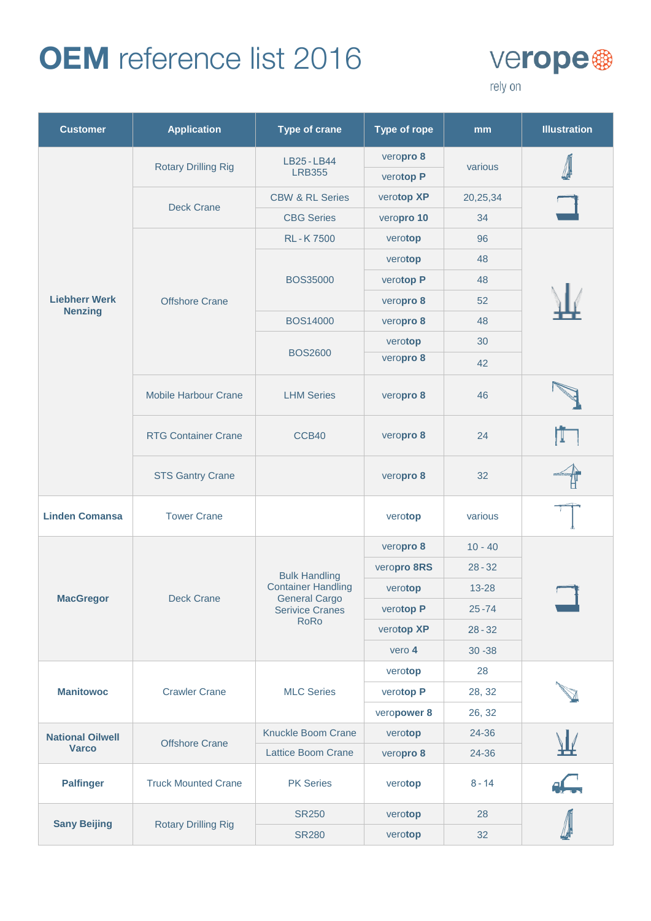

| <b>Customer</b>                         | <b>Application</b>          | <b>Type of crane</b>                                                                                               | <b>Type of rope</b> | mm        | <b>Illustration</b> |
|-----------------------------------------|-----------------------------|--------------------------------------------------------------------------------------------------------------------|---------------------|-----------|---------------------|
|                                         | <b>Rotary Drilling Rig</b>  | LB25-LB44<br><b>LRB355</b>                                                                                         | veropro 8           |           |                     |
|                                         |                             |                                                                                                                    | verotop P           | various   |                     |
|                                         |                             | <b>CBW &amp; RL Series</b>                                                                                         | verotop XP          | 20,25,34  |                     |
|                                         | <b>Deck Crane</b>           | <b>CBG Series</b>                                                                                                  | veropro 10          | 34        |                     |
|                                         |                             | <b>RL-K7500</b>                                                                                                    | verotop             | 96        |                     |
|                                         |                             | <b>BOS35000</b>                                                                                                    | verotop             | 48        |                     |
|                                         |                             |                                                                                                                    | verotop P           | 48        |                     |
| <b>Liebherr Werk</b>                    | <b>Offshore Crane</b>       |                                                                                                                    | veropro 8           | 52        |                     |
| <b>Nenzing</b>                          |                             | <b>BOS14000</b>                                                                                                    | veropro 8           | 48        |                     |
|                                         |                             |                                                                                                                    | verotop             | 30        |                     |
|                                         |                             | <b>BOS2600</b>                                                                                                     | veropro 8           | 42        |                     |
|                                         | <b>Mobile Harbour Crane</b> | <b>LHM Series</b>                                                                                                  | veropro 8           | 46        |                     |
|                                         | <b>RTG Container Crane</b>  | CCB40                                                                                                              | veropro 8           | 24        |                     |
|                                         | <b>STS Gantry Crane</b>     |                                                                                                                    | veropro 8           | 32        |                     |
| <b>Linden Comansa</b>                   | <b>Tower Crane</b>          |                                                                                                                    | verotop             | various   |                     |
|                                         | <b>Deck Crane</b>           |                                                                                                                    | veropro 8           | $10 - 40$ |                     |
|                                         |                             | <b>Bulk Handling</b><br><b>Container Handling</b><br><b>General Cargo</b><br><b>Serivice Cranes</b><br><b>RoRo</b> | veropro 8RS         | $28 - 32$ |                     |
|                                         |                             |                                                                                                                    | verotop             | 13-28     |                     |
| <b>MacGregor</b>                        |                             |                                                                                                                    | verotop P           | $25 - 74$ |                     |
|                                         |                             |                                                                                                                    | verotop XP          | $28 - 32$ |                     |
|                                         |                             |                                                                                                                    | vero 4              | $30 - 38$ |                     |
|                                         | <b>Crawler Crane</b>        | <b>MLC Series</b>                                                                                                  | verotop             | 28        |                     |
| <b>Manitowoc</b>                        |                             |                                                                                                                    | verotop P           | 28, 32    |                     |
|                                         |                             |                                                                                                                    | veropower 8         | 26, 32    |                     |
| <b>National Oilwell</b><br><b>Varco</b> |                             | Knuckle Boom Crane                                                                                                 | verotop             | 24-36     |                     |
|                                         | <b>Offshore Crane</b>       | <b>Lattice Boom Crane</b>                                                                                          | veropro 8           | 24-36     |                     |
| <b>Palfinger</b>                        | <b>Truck Mounted Crane</b>  | <b>PK Series</b>                                                                                                   | verotop             | $8 - 14$  | $\sqrt{2}$          |
|                                         |                             | <b>SR250</b>                                                                                                       | verotop             | 28        |                     |
| <b>Sany Beijing</b>                     | <b>Rotary Drilling Rig</b>  | <b>SR280</b>                                                                                                       | verotop             | 32        |                     |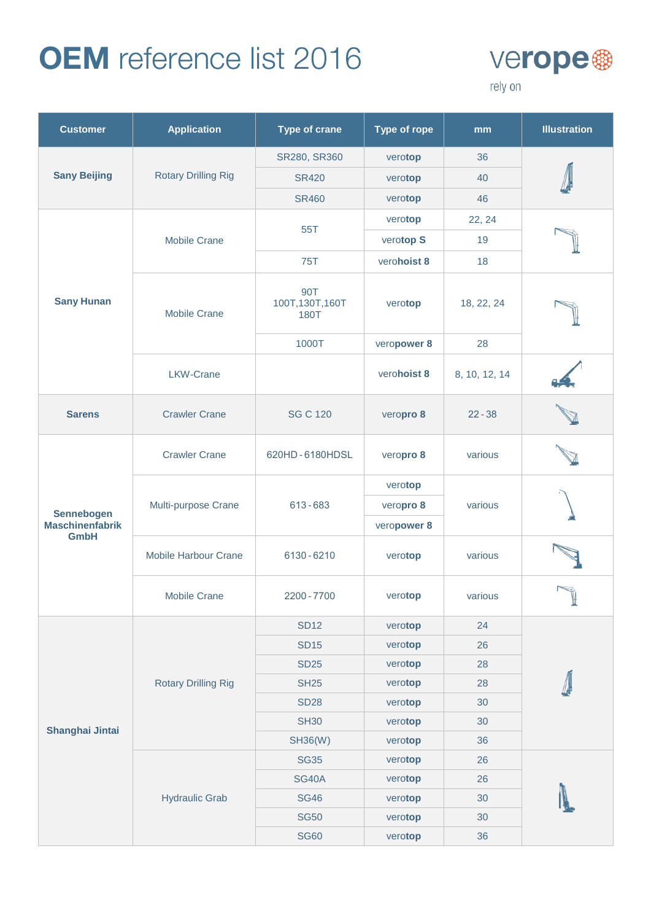

| <b>Customer</b>        | <b>Application</b>          | <b>Type of crane</b>          | <b>Type of rope</b> | mm            | <b>Illustration</b> |
|------------------------|-----------------------------|-------------------------------|---------------------|---------------|---------------------|
| <b>Sany Beijing</b>    |                             | SR280, SR360                  | verotop             | 36            |                     |
|                        | <b>Rotary Drilling Rig</b>  | <b>SR420</b>                  | verotop             | 40            |                     |
|                        |                             | <b>SR460</b>                  | verotop             | 46            |                     |
|                        |                             | 55T                           | verotop             | 22, 24        |                     |
|                        | <b>Mobile Crane</b>         |                               | verotop S           | 19            |                     |
|                        |                             | <b>75T</b>                    | verohoist 8         | 18            |                     |
| <b>Sany Hunan</b>      | <b>Mobile Crane</b>         | 90T<br>100T,130T,160T<br>180T | verotop             | 18, 22, 24    |                     |
|                        |                             | 1000T                         | veropower 8         | 28            |                     |
|                        | <b>LKW-Crane</b>            |                               | verohoist 8         | 8, 10, 12, 14 |                     |
| <b>Sarens</b>          | <b>Crawler Crane</b>        | <b>SG C 120</b>               | veropro 8           | $22 - 38$     |                     |
|                        | <b>Crawler Crane</b>        | 620HD-6180HDSL                | veropro 8           | various       |                     |
|                        | Multi-purpose Crane         |                               | verotop             |               |                     |
| <b>Sennebogen</b>      |                             | 613-683                       | veropro 8           | various       |                     |
| <b>Maschinenfabrik</b> |                             |                               | veropower 8         |               |                     |
| <b>GmbH</b>            | <b>Mobile Harbour Crane</b> | 6130-6210                     | verotop             | various       |                     |
|                        | <b>Mobile Crane</b>         | 2200 - 7700                   | verotop             | various       |                     |
|                        | <b>Rotary Drilling Rig</b>  | <b>SD12</b>                   | verotop             | 24            |                     |
|                        |                             | <b>SD15</b>                   | verotop             | 26            |                     |
|                        |                             | <b>SD25</b>                   | verotop             | 28            |                     |
|                        |                             | <b>SH25</b>                   | verotop             | 28            |                     |
| Shanghai Jintai        |                             | <b>SD28</b>                   | verotop             | 30            |                     |
|                        |                             | <b>SH30</b>                   | verotop             | 30            |                     |
|                        |                             | <b>SH36(W)</b>                | verotop             | 36            |                     |
|                        | <b>Hydraulic Grab</b>       | <b>SG35</b>                   | verotop             | 26            |                     |
|                        |                             | <b>SG40A</b>                  | verotop             | 26            |                     |
|                        |                             | <b>SG46</b>                   | verotop             | 30            |                     |
|                        |                             | <b>SG50</b>                   | verotop             | 30            |                     |
|                        |                             | <b>SG60</b>                   | verotop             | 36            |                     |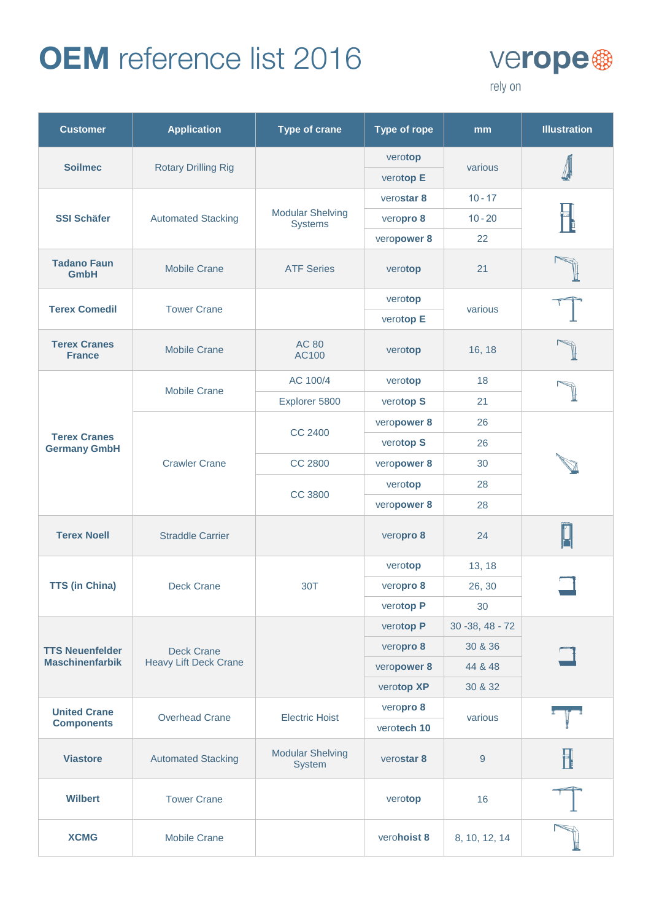

| <b>Customer</b>                            | <b>Application</b>                                | <b>Type of crane</b>                      | <b>Type of rope</b>  | mm               | <b>Illustration</b> |
|--------------------------------------------|---------------------------------------------------|-------------------------------------------|----------------------|------------------|---------------------|
| <b>Soilmec</b>                             | <b>Rotary Drilling Rig</b>                        |                                           | verotop<br>verotop E | various          |                     |
|                                            |                                                   |                                           | verostar 8           | $10 - 17$        |                     |
| <b>SSI Schäfer</b>                         | <b>Automated Stacking</b>                         | <b>Modular Shelving</b><br><b>Systems</b> | veropro 8            | $10 - 20$        |                     |
|                                            |                                                   |                                           | veropower 8          | 22               |                     |
| <b>Tadano Faun</b><br><b>GmbH</b>          | <b>Mobile Crane</b>                               | <b>ATF Series</b>                         | verotop              | 21               |                     |
| <b>Terex Comedil</b>                       | <b>Tower Crane</b>                                |                                           | verotop              |                  |                     |
|                                            |                                                   |                                           | verotop E            | various          |                     |
| <b>Terex Cranes</b><br><b>France</b>       | <b>Mobile Crane</b>                               | <b>AC 80</b><br>AC100                     | verotop              | 16, 18           |                     |
|                                            | <b>Mobile Crane</b>                               | AC 100/4                                  | verotop              | 18               |                     |
|                                            |                                                   | Explorer 5800                             | verotop S            | 21               |                     |
|                                            | <b>Crawler Crane</b>                              | CC 2400                                   | veropower 8          | 26               |                     |
| <b>Terex Cranes</b><br><b>Germany GmbH</b> |                                                   |                                           | verotop S            | 26               |                     |
|                                            |                                                   | <b>CC 2800</b>                            | veropower 8          | 30               |                     |
|                                            |                                                   | <b>CC 3800</b>                            | verotop              | 28               |                     |
|                                            |                                                   |                                           | veropower 8          | 28               |                     |
| <b>Terex Noell</b>                         | <b>Straddle Carrier</b>                           |                                           | veropro 8            | 24               |                     |
|                                            | <b>Deck Crane</b>                                 | 30T                                       | verotop              | 13, 18           |                     |
| <b>TTS (in China)</b>                      |                                                   |                                           | veropro 8            | 26, 30           |                     |
|                                            |                                                   |                                           | verotop P            | 30               |                     |
|                                            | <b>Deck Crane</b><br><b>Heavy Lift Deck Crane</b> |                                           | verotop P            | 30 - 38, 48 - 72 |                     |
| <b>TTS Neuenfelder</b>                     |                                                   |                                           | veropro 8            | 30 & 36          |                     |
| <b>Maschinenfarbik</b>                     |                                                   |                                           | veropower 8          | 44 & 48          |                     |
|                                            |                                                   |                                           | verotop XP           | 30 & 32          |                     |
| <b>United Crane</b><br><b>Components</b>   | <b>Overhead Crane</b>                             | <b>Electric Hoist</b>                     | veropro 8            | various          |                     |
|                                            |                                                   |                                           | verotech 10          |                  |                     |
| <b>Viastore</b>                            | <b>Automated Stacking</b>                         | <b>Modular Shelving</b><br>System         | verostar 8           | $\boldsymbol{9}$ | H                   |
| <b>Wilbert</b>                             | <b>Tower Crane</b>                                |                                           | verotop              | 16               |                     |
| <b>XCMG</b>                                | <b>Mobile Crane</b>                               |                                           | verohoist 8          | 8, 10, 12, 14    |                     |